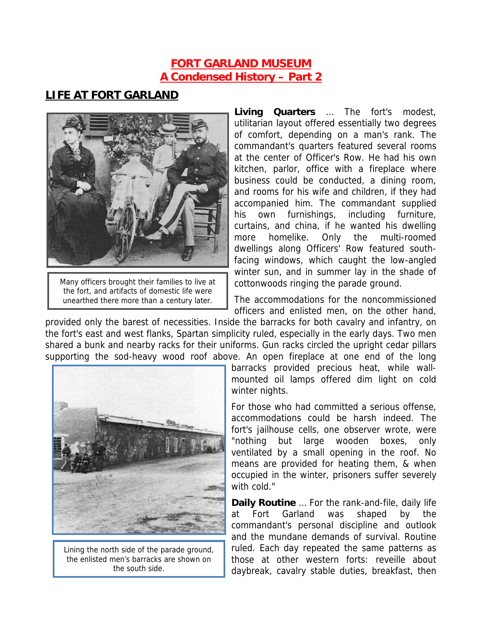### **FORT GARLAND MUSEUM A Condensed History – Part 2**

### **LIFE AT FORT GARLAND**



Many officers brought their families to live at the fort, and artifacts of domestic life were unearthed there more than a century later.

**Living Quarters** … The fort's modest, utilitarian layout offered essentially two degrees of comfort, depending on a man's rank. The commandant's quarters featured several rooms at the center of Officer's Row. He had his own kitchen, parlor, office with a fireplace where business could be conducted, a dining room, and rooms for his wife and children, if they had accompanied him. The commandant supplied his own furnishings, including furniture, curtains, and china, if he wanted his dwelling more homelike. Only the multi-roomed dwellings along Officers' Row featured southfacing windows, which caught the low-angled winter sun, and in summer lay in the shade of cottonwoods ringing the parade ground.

The accommodations for the noncommissioned officers and enlisted men, on the other hand,

provided only the barest of necessities. Inside the barracks for both cavalry and infantry, on the fort's east and west flanks, Spartan simplicity ruled, especially in the early days. Two men shared a bunk and nearby racks for their uniforms. Gun racks circled the upright cedar pillars supporting the sod-heavy wood roof above. An open fireplace at one end of the long



Lining the north side of the parade ground, the enlisted men's barracks are shown on the south side.

barracks provided precious heat, while wallmounted oil lamps offered dim light on cold winter nights.

For those who had committed a serious offense, accommodations could be harsh indeed. The fort's jailhouse cells, one observer wrote, were "nothing but large wooden boxes, only ventilated by a small opening in the roof. No means are provided for heating them, & when occupied in the winter, prisoners suffer severely with cold."

**Daily Routine** … For the rank-and-file, daily life at Fort Garland was shaped by the commandant's personal discipline and outlook and the mundane demands of survival. Routine ruled. Each day repeated the same patterns as those at other western forts: reveille about daybreak, cavalry stable duties, breakfast, then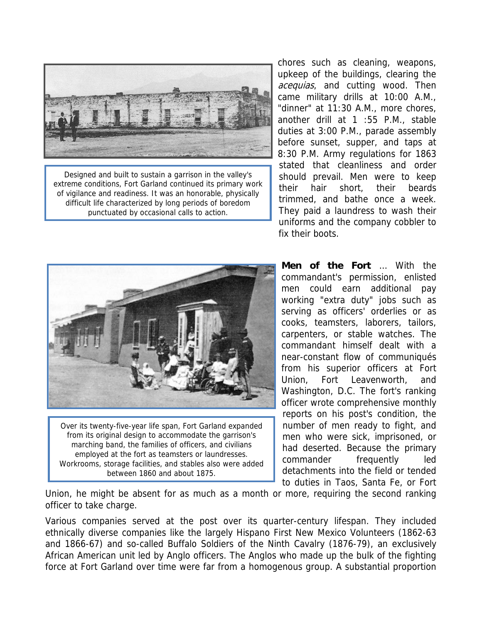

Designed and built to sustain a garrison in the valley's extreme conditions, Fort Garland continued its primary work of vigilance and readiness. It was an honorable, physically difficult life characterized by long periods of boredom punctuated by occasional calls to action.

chores such as cleaning, weapons, upkeep of the buildings, clearing the acequias, and cutting wood. Then came military drills at 10:00 A.M., "dinner" at 11:30 A.M., more chores, another drill at 1 :55 P.M., stable duties at 3:00 P.M., parade assembly before sunset, supper, and taps at 8:30 P.M. Army regulations for 1863 stated that cleanliness and order should prevail. Men were to keep their hair short, their beards trimmed, and bathe once a week. They paid a laundress to wash their uniforms and the company cobbler to fix their boots.



Over its twenty-five-year life span, Fort Garland expanded from its original design to accommodate the garrison's marching band, the families of officers, and civilians employed at the fort as teamsters or laundresses. Workrooms, storage facilities, and stables also were added between 1860 and about 1875.

**Men of the Fort** … With the commandant's permission, enlisted men could earn additional pay working "extra duty" jobs such as serving as officers' orderlies or as cooks, teamsters, laborers, tailors, carpenters, or stable watches. The commandant himself dealt with a near-constant flow of communiqués from his superior officers at Fort Union, Fort Leavenworth, and Washington, D.C. The fort's ranking officer wrote comprehensive monthly reports on his post's condition, the number of men ready to fight, and men who were sick, imprisoned, or had deserted. Because the primary commander frequently led detachments into the field or tended to duties in Taos, Santa Fe, or Fort

Union, he might be absent for as much as a month or more, requiring the second ranking officer to take charge.

Various companies served at the post over its quarter-century lifespan. They included ethnically diverse companies like the largely Hispano First New Mexico Volunteers (1862-63 and 1866-67) and so-called Buffalo Soldiers of the Ninth Cavalry (1876-79), an exclusively African American unit led by Anglo officers. The Anglos who made up the bulk of the fighting force at Fort Garland over time were far from a homogenous group. A substantial proportion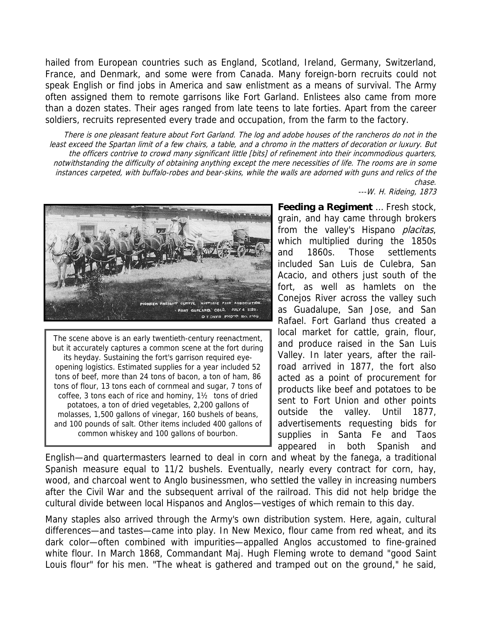hailed from European countries such as England, Scotland, Ireland, Germany, Switzerland, France, and Denmark, and some were from Canada. Many foreign-born recruits could not speak English or find jobs in America and saw enlistment as a means of survival. The Army often assigned them to remote garrisons like Fort Garland. Enlistees also came from more than a dozen states. Their ages ranged from late teens to late forties. Apart from the career soldiers, recruits represented every trade and occupation, from the farm to the factory.

There is one pleasant feature about Fort Garland. The log and adobe houses of the rancheros do not in the least exceed the Spartan limit of a few chairs, a table, and a chromo in the matters of decoration or luxury. But the officers contrive to crowd many significant little [bits] of refinement into their incommodious quarters, notwithstanding the difficulty of obtaining anything except the mere necessities of life. The rooms are in some instances carpeted, with buffalo-robes and bear-skins, while the walls are adorned with guns and relics of the chase.

---W. H. Rideing, 1873



The scene above is an early twentieth-century reenactment, but it accurately captures a common scene at the fort during its heyday. Sustaining the fort's garrison required eyeopening logistics. Estimated supplies for a year included 52 tons of beef, more than 24 tons of bacon, a ton of ham, 86 tons of flour, 13 tons each of cornmeal and sugar, 7 tons of coffee, 3 tons each of rice and hominy, 1½ tons of dried potatoes, a ton of dried vegetables, 2,200 gallons of molasses, 1,500 gallons of vinegar, 160 bushels of beans, and 100 pounds of salt. Other items included 400 gallons of common whiskey and 100 gallons of bourbon.

**Feeding a Regiment** … Fresh stock, grain, and hay came through brokers from the valley's Hispano *placitas*, which multiplied during the 1850s and 1860s. Those settlements included San Luis de Culebra, San Acacio, and others just south of the fort, as well as hamlets on the Conejos River across the valley such as Guadalupe, San Jose, and San Rafael. Fort Garland thus created a local market for cattle, grain, flour, and produce raised in the San Luis Valley. In later years, after the railroad arrived in 1877, the fort also acted as a point of procurement for products like beef and potatoes to be sent to Fort Union and other points outside the valley. Until 1877, advertisements requesting bids for supplies in Santa Fe and Taos appeared in both Spanish and

English—and quartermasters learned to deal in corn and wheat by the fanega, a traditional Spanish measure equal to 11/2 bushels. Eventually, nearly every contract for corn, hay, wood, and charcoal went to Anglo businessmen, who settled the valley in increasing numbers after the Civil War and the subsequent arrival of the railroad. This did not help bridge the cultural divide between local Hispanos and Anglos—vestiges of which remain to this day.

Many staples also arrived through the Army's own distribution system. Here, again, cultural differences—and tastes—came into play. In New Mexico, flour came from red wheat, and its dark color—often combined with impurities—appalled Anglos accustomed to fine-grained white flour. In March 1868, Commandant Maj. Hugh Fleming wrote to demand "good Saint Louis flour" for his men. "The wheat is gathered and tramped out on the ground," he said,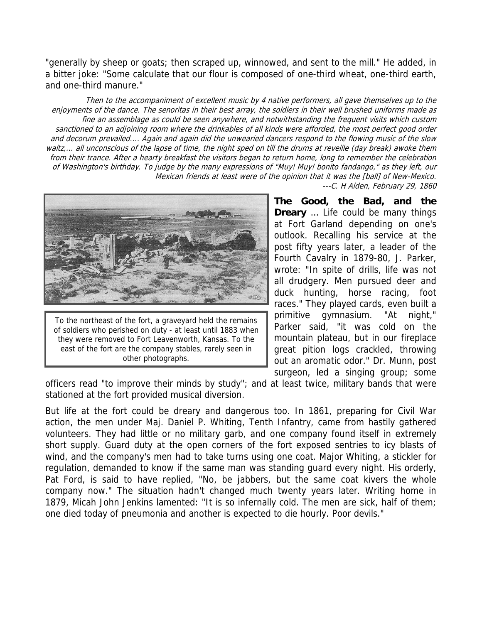"generally by sheep or goats; then scraped up, winnowed, and sent to the mill." He added, in a bitter joke: "Some calculate that our flour is composed of one-third wheat, one-third earth, and one-third manure."

Then to the accompaniment of excellent music by 4 native performers, all gave themselves up to the enjoyments of the dance. The senoritas in their best array, the soldiers in their well brushed uniforms made as fine an assemblage as could be seen anywhere, and notwithstanding the frequent visits which custom sanctioned to an adjoining room where the drinkables of all kinds were afforded, the most perfect good order and decorum prevailed.... Again and again did the unwearied dancers respond to the flowing music of the slow waltz,... all unconscious of the lapse of time, the night sped on till the drums at reveille (day break) awoke them from their trance. After a hearty breakfast the visitors began to return home, long to remember the celebration of Washington's birthday. To judge by the many expressions of "Muy! Muy! bonito fandango," as they left, our Mexican friends at least were of the opinion that it was the [ball] of New-Mexico.



To the northeast of the fort, a graveyard held the remains of soldiers who perished on duty - at least until 1883 when they were removed to Fort Leavenworth, Kansas. To the east of the fort are the company stables, rarely seen in other photographs.

---C. H Alden, February 29, 1860

**The Good, the Bad, and the Dreary** … Life could be many things at Fort Garland depending on one's outlook. Recalling his service at the post fifty years later, a leader of the Fourth Cavalry in 1879-80, J. Parker, wrote: "In spite of drills, life was not all drudgery. Men pursued deer and duck hunting, horse racing, foot races." They played cards, even built a primitive gymnasium. "At night," Parker said, "it was cold on the mountain plateau, but in our fireplace great pition logs crackled, throwing out an aromatic odor." Dr. Munn, post surgeon, led a singing group; some

officers read "to improve their minds by study"; and at least twice, military bands that were stationed at the fort provided musical diversion.

But life at the fort could be dreary and dangerous too. In 1861, preparing for Civil War action, the men under Maj. Daniel P. Whiting, Tenth Infantry, came from hastily gathered volunteers. They had little or no military garb, and one company found itself in extremely short supply. Guard duty at the open corners of the fort exposed sentries to icy blasts of wind, and the company's men had to take turns using one coat. Major Whiting, a stickler for regulation, demanded to know if the same man was standing guard every night. His orderly, Pat Ford, is said to have replied, "No, be jabbers, but the same coat kivers the whole company now." The situation hadn't changed much twenty years later. Writing home in 1879, Micah John Jenkins lamented: "It is so infernally cold. The men are sick, half of them; one died today of pneumonia and another is expected to die hourly. Poor devils."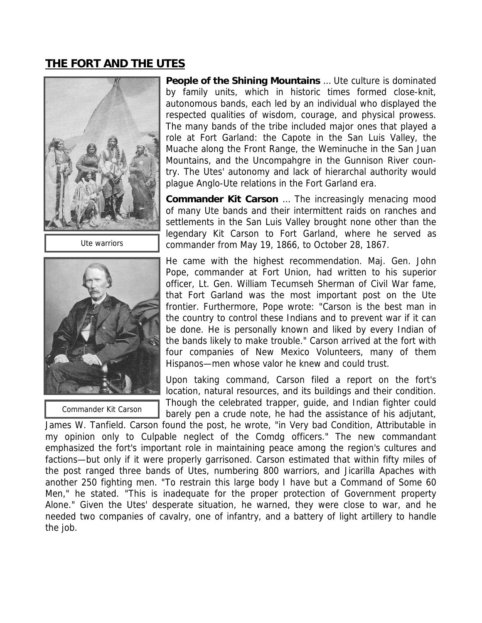# **THE FORT AND THE UTES**



Ute warriors



Commander Kit Carson

**People of the Shining Mountains** … Ute culture is dominated by family units, which in historic times formed close-knit, autonomous bands, each led by an individual who displayed the respected qualities of wisdom, courage, and physical prowess. The many bands of the tribe included major ones that played a role at Fort Garland: the Capote in the San Luis Valley, the Muache along the Front Range, the Weminuche in the San Juan Mountains, and the Uncompahgre in the Gunnison River country. The Utes' autonomy and lack of hierarchal authority would plague Anglo-Ute relations in the Fort Garland era.

**Commander Kit Carson** … The increasingly menacing mood of many Ute bands and their intermittent raids on ranches and settlements in the San Luis Valley brought none other than the legendary Kit Carson to Fort Garland, where he served as commander from May 19, 1866, to October 28, 1867.

He came with the highest recommendation. Maj. Gen. John Pope, commander at Fort Union, had written to his superior officer, Lt. Gen. William Tecumseh Sherman of Civil War fame, that Fort Garland was the most important post on the Ute frontier. Furthermore, Pope wrote: "Carson is the best man in the country to control these Indians and to prevent war if it can be done. He is personally known and liked by every Indian of the bands likely to make trouble." Carson arrived at the fort with four companies of New Mexico Volunteers, many of them Hispanos—men whose valor he knew and could trust.

Upon taking command, Carson filed a report on the fort's location, natural resources, and its buildings and their condition. Though the celebrated trapper, guide, and Indian fighter could

barely pen a crude note, he had the assistance of his adjutant, James W. Tanfield. Carson found the post, he wrote, "in Very bad Condition, Attributable in my opinion only to Culpable neglect of the Comdg officers." The new commandant emphasized the fort's important role in maintaining peace among the region's cultures and factions—but only if it were properly garrisoned. Carson estimated that within fifty miles of the post ranged three bands of Utes, numbering 800 warriors, and Jicarilla Apaches with another 250 fighting men. "To restrain this large body I have but a Command of Some 60 Men," he stated. "This is inadequate for the proper protection of Government property Alone." Given the Utes' desperate situation, he warned, they were close to war, and he needed two companies of cavalry, one of infantry, and a battery of light artillery to handle the job.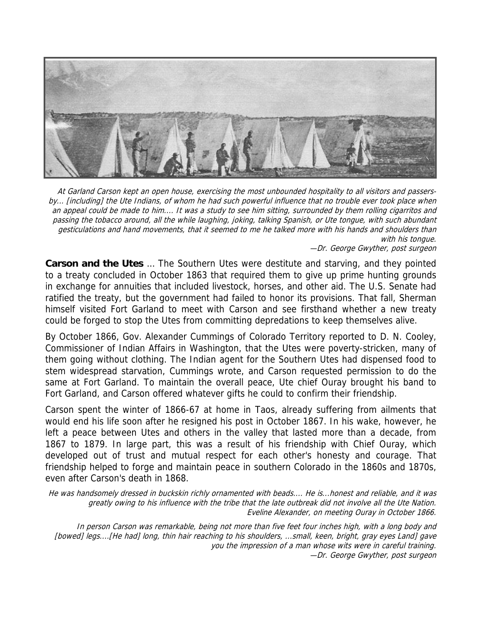

At Garland Carson kept an open house, exercising the most unbounded hospitality to all visitors and passersby... [including] the Ute Indians, of whom he had such powerful influence that no trouble ever took place when an appeal could be made to him.... It was a study to see him sitting, surrounded by them rolling cigarritos and passing the tobacco around, all the while laughing, joking, talking Spanish, or Ute tongue, with such abundant gesticulations and hand movements, that it seemed to me he talked more with his hands and shoulders than with his tongue.

—Dr. George Gwyther, post surgeon

**Carson and the Utes** … The Southern Utes were destitute and starving, and they pointed to a treaty concluded in October 1863 that required them to give up prime hunting grounds in exchange for annuities that included livestock, horses, and other aid. The U.S. Senate had ratified the treaty, but the government had failed to honor its provisions. That fall, Sherman himself visited Fort Garland to meet with Carson and see firsthand whether a new treaty could be forged to stop the Utes from committing depredations to keep themselves alive.

By October 1866, Gov. Alexander Cummings of Colorado Territory reported to D. N. Cooley, Commissioner of Indian Affairs in Washington, that the Utes were poverty-stricken, many of them going without clothing. The Indian agent for the Southern Utes had dispensed food to stem widespread starvation, Cummings wrote, and Carson requested permission to do the same at Fort Garland. To maintain the overall peace, Ute chief Ouray brought his band to Fort Garland, and Carson offered whatever gifts he could to confirm their friendship.

Carson spent the winter of 1866-67 at home in Taos, already suffering from ailments that would end his life soon after he resigned his post in October 1867. In his wake, however, he left a peace between Utes and others in the valley that lasted more than a decade, from 1867 to 1879. In large part, this was a result of his friendship with Chief Ouray, which developed out of trust and mutual respect for each other's honesty and courage. That friendship helped to forge and maintain peace in southern Colorado in the 1860s and 1870s, even after Carson's death in 1868.

He was handsomely dressed in buckskin richly ornamented with beads.... He is...honest and reliable, and it was greatly owing to his influence with the tribe that the late outbreak did not involve all the Ute Nation. Eveline Alexander, on meeting Ouray in October 1866.

In person Carson was remarkable, being not more than five feet four inches high, with a long body and [bowed] legs....[He had] long, thin hair reaching to his shoulders, ...small, keen, bright, gray eyes Land] gave you the impression of a man whose wits were in careful training. —Dr. George Gwyther, post surgeon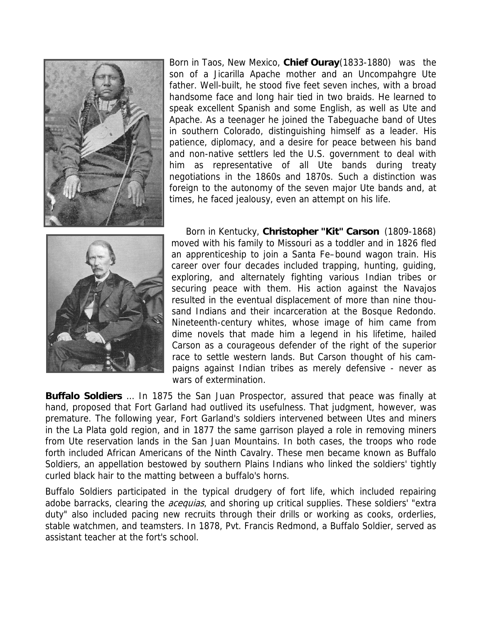

Born in Taos, New Mexico, **Chief Ouray**(1833-1880) was the son of a Jicarilla Apache mother and an Uncompahgre Ute father. Well-built, he stood five feet seven inches, with a broad handsome face and long hair tied in two braids. He learned to speak excellent Spanish and some English, as well as Ute and Apache. As a teenager he joined the Tabeguache band of Utes in southern Colorado, distinguishing himself as a leader. His patience, diplomacy, and a desire for peace between his band and non-native settlers led the U.S. government to deal with him as representative of all Ute bands during treaty negotiations in the 1860s and 1870s. Such a distinction was foreign to the autonomy of the seven major Ute bands and, at times, he faced jealousy, even an attempt on his life.



Born in Kentucky, **Christopher "Kit" Carson** (1809-1868) moved with his family to Missouri as a toddler and in 1826 fled an apprenticeship to join a Santa Fe–bound wagon train. His career over four decades included trapping, hunting, guiding, exploring, and alternately fighting various Indian tribes or securing peace with them. His action against the Navajos resulted in the eventual displacement of more than nine thousand Indians and their incarceration at the Bosque Redondo. Nineteenth-century whites, whose image of him came from dime novels that made him a legend in his lifetime, hailed Carson as a courageous defender of the right of the superior race to settle western lands. But Carson thought of his campaigns against Indian tribes as merely defensive - never as wars of extermination.

**Buffalo Soldiers** … In 1875 the San Juan Prospector, assured that peace was finally at hand, proposed that Fort Garland had outlived its usefulness. That judgment, however, was premature. The following year, Fort Garland's soldiers intervened between Utes and miners in the La Plata gold region, and in 1877 the same garrison played a role in removing miners from Ute reservation lands in the San Juan Mountains. In both cases, the troops who rode forth included African Americans of the Ninth Cavalry. These men became known as Buffalo Soldiers, an appellation bestowed by southern Plains Indians who linked the soldiers' tightly curled black hair to the matting between a buffalo's horns.

Buffalo Soldiers participated in the typical drudgery of fort life, which included repairing adobe barracks, clearing the *acequias*, and shoring up critical supplies. These soldiers' "extra duty" also included pacing new recruits through their drills or working as cooks, orderlies, stable watchmen, and teamsters. In 1878, Pvt. Francis Redmond, a Buffalo Soldier, served as assistant teacher at the fort's school.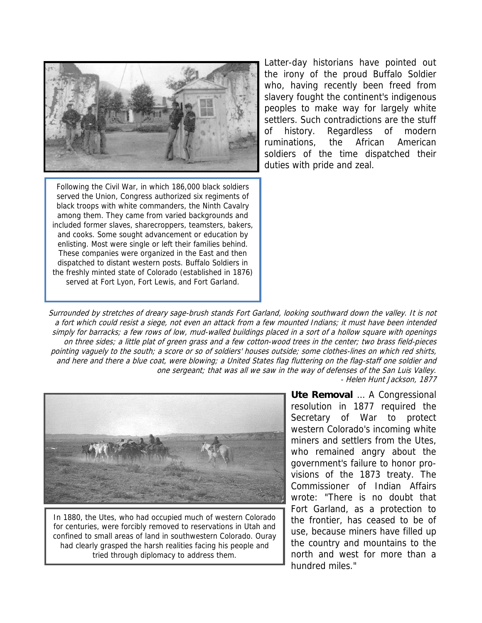

Following the Civil War, in which 186,000 black soldiers served the Union, Congress authorized six regiments of black troops with white commanders, the Ninth Cavalry among them. They came from varied backgrounds and included former slaves, sharecroppers, teamsters, bakers, and cooks. Some sought advancement or education by enlisting. Most were single or left their families behind. These companies were organized in the East and then dispatched to distant western posts. Buffalo Soldiers in the freshly minted state of Colorado (established in 1876) served at Fort Lyon, Fort Lewis, and Fort Garland.

Latter-day historians have pointed out the irony of the proud Buffalo Soldier who, having recently been freed from slavery fought the continent's indigenous peoples to make way for largely white settlers. Such contradictions are the stuff of history. Regardless of modern ruminations, the African American soldiers of the time dispatched their duties with pride and zeal.

Surrounded by stretches of dreary sage-brush stands Fort Garland, looking southward down the valley. It is not a fort which could resist a siege, not even an attack from a few mounted Indians; it must have been intended simply for barracks; a few rows of low, mud-walled buildings placed in a sort of a hollow square with openings on three sides; a little plat of green grass and a few cotton-wood trees in the center; two brass field-pieces pointing vaguely to the south; a score or so of soldiers' houses outside; some clothes-lines on which red shirts, and here and there a blue coat, were blowing; a United States flag fluttering on the flag-staff one soldier and one sergeant; that was all we saw in the way of defenses of the San Luis Valley. - Helen Hunt Jackson, 1877



In 1880, the Utes, who had occupied much of western Colorado for centuries, were forcibly removed to reservations in Utah and confined to small areas of land in southwestern Colorado. Ouray had clearly grasped the harsh realities facing his people and tried through diplomacy to address them.

**Ute Removal** … A Congressional resolution in 1877 required the Secretary of War to protect western Colorado's incoming white miners and settlers from the Utes, who remained angry about the government's failure to honor provisions of the 1873 treaty. The Commissioner of Indian Affairs wrote: "There is no doubt that Fort Garland, as a protection to the frontier, has ceased to be of use, because miners have filled up the country and mountains to the north and west for more than a hundred miles."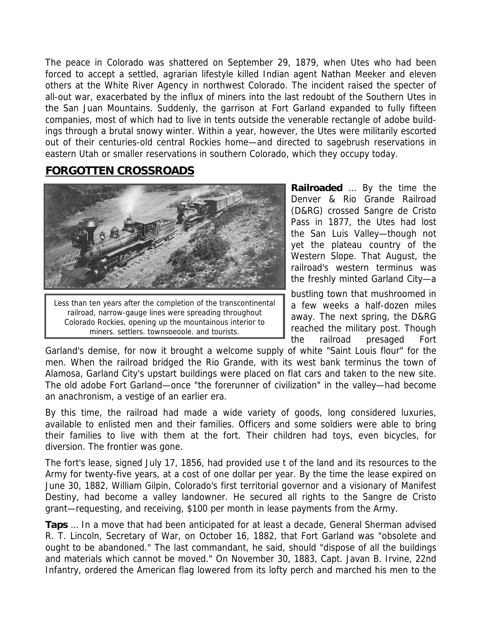The peace in Colorado was shattered on September 29, 1879, when Utes who had been forced to accept a settled, agrarian lifestyle killed Indian agent Nathan Meeker and eleven others at the White River Agency in northwest Colorado. The incident raised the specter of all-out war, exacerbated by the influx of miners into the last redoubt of the Southern Utes in the San Juan Mountains. Suddenly, the garrison at Fort Garland expanded to fully fifteen companies, most of which had to live in tents outside the venerable rectangle of adobe buildings through a brutal snowy winter. Within a year, however, the Utes were militarily escorted out of their centuries-old central Rockies home—and directed to sagebrush reservations in eastern Utah or smaller reservations in southern Colorado, which they occupy today.

### **FORGOTTEN CROSSROADS**



Less than ten years after the completion of the transcontinental railroad, narrow-gauge lines were spreading throughout Colorado Rockies, opening up the mountainous interior to miners, settlers, townspeople, and tourists.

**Railroaded** … By the time the Denver & Rio Grande Railroad (D&RG) crossed Sangre de Cristo Pass in 1877, the Utes had lost the San Luis Valley—though not yet the plateau country of the Western Slope. That August, the railroad's western terminus was the freshly minted Garland City—a

bustling town that mushroomed in a few weeks a half-dozen miles away. The next spring, the D&RG reached the military post. Though the railroad presaged Fort

Garland's demise, for now it brought a welcome supply of white "Saint Louis flour" for the men. When the railroad bridged the Rio Grande, with its west bank terminus the town of Alamosa, Garland City's upstart buildings were placed on flat cars and taken to the new site. The old adobe Fort Garland—once "the forerunner of civilization" in the valley—had become an anachronism, a vestige of an earlier era.

By this time, the railroad had made a wide variety of goods, long considered luxuries, available to enlisted men and their families. Officers and some soldiers were able to bring their families to live with them at the fort. Their children had toys, even bicycles, for diversion. The frontier was gone.

The fort's lease, signed July 17, 1856, had provided use t of the land and its resources to the Army for twenty-five years, at a cost of one dollar per year. By the time the lease expired on June 30, 1882, William Gilpin, Colorado's first territorial governor and a visionary of Manifest Destiny, had become a valley landowner. He secured all rights to the Sangre de Cristo grant—requesting, and receiving, \$100 per month in lease payments from the Army.

**Taps** … In a move that had been anticipated for at least a decade, General Sherman advised R. T. Lincoln, Secretary of War, on October 16, 1882, that Fort Garland was "obsolete and ought to be abandoned." The last commandant, he said, should "dispose of all the buildings and materials which cannot be moved." On November 30, 1883, Capt. Javan B. Irvine, 22nd Infantry, ordered the American flag lowered from its lofty perch and marched his men to the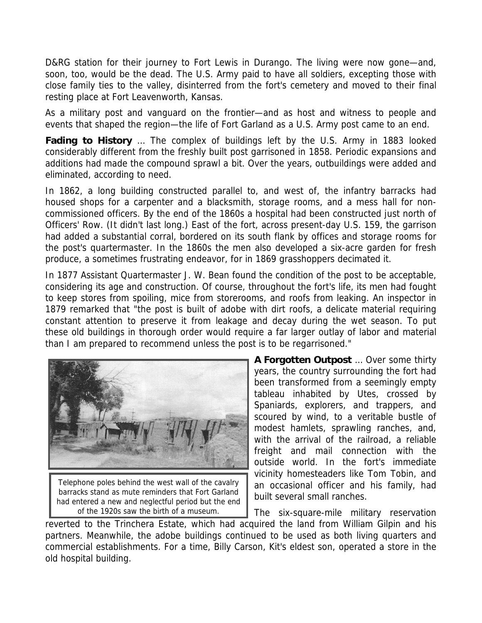D&RG station for their journey to Fort Lewis in Durango. The living were now gone—and, soon, too, would be the dead. The U.S. Army paid to have all soldiers, excepting those with close family ties to the valley, disinterred from the fort's cemetery and moved to their final resting place at Fort Leavenworth, Kansas.

As a military post and vanguard on the frontier—and as host and witness to people and events that shaped the region—the life of Fort Garland as a U.S. Army post came to an end.

**Fading to History** … The complex of buildings left by the U.S. Army in 1883 looked considerably different from the freshly built post garrisoned in 1858. Periodic expansions and additions had made the compound sprawl a bit. Over the years, outbuildings were added and eliminated, according to need.

In 1862, a long building constructed parallel to, and west of, the infantry barracks had housed shops for a carpenter and a blacksmith, storage rooms, and a mess hall for noncommissioned officers. By the end of the 1860s a hospital had been constructed just north of Officers' Row. (It didn't last long.) East of the fort, across present-day U.S. 159, the garrison had added a substantial corral, bordered on its south flank by offices and storage rooms for the post's quartermaster. In the 1860s the men also developed a six-acre garden for fresh produce, a sometimes frustrating endeavor, for in 1869 grasshoppers decimated it.

In 1877 Assistant Quartermaster J. W. Bean found the condition of the post to be acceptable, considering its age and construction. Of course, throughout the fort's life, its men had fought to keep stores from spoiling, mice from storerooms, and roofs from leaking. An inspector in 1879 remarked that "the post is built of adobe with dirt roofs, a delicate material requiring constant attention to preserve it from leakage and decay during the wet season. To put these old buildings in thorough order would require a far larger outlay of labor and material than I am prepared to recommend unless the post is to be regarrisoned."



Telephone poles behind the west wall of the cavalry barracks stand as mute reminders that Fort Garland had entered a new and neglectful period but the end of the 1920s saw the birth of a museum.

**A Forgotten Outpost** … Over some thirty years, the country surrounding the fort had been transformed from a seemingly empty tableau inhabited by Utes, crossed by Spaniards, explorers, and trappers, and scoured by wind, to a veritable bustle of modest hamlets, sprawling ranches, and, with the arrival of the railroad, a reliable freight and mail connection with the outside world. In the fort's immediate vicinity homesteaders like Tom Tobin, and an occasional officer and his family, had built several small ranches.

The six-square-mile military reservation reverted to the Trinchera Estate, which had acquired the land from William Gilpin and his partners. Meanwhile, the adobe buildings continued to be used as both living quarters and commercial establishments. For a time, Billy Carson, Kit's eldest son, operated a store in the old hospital building.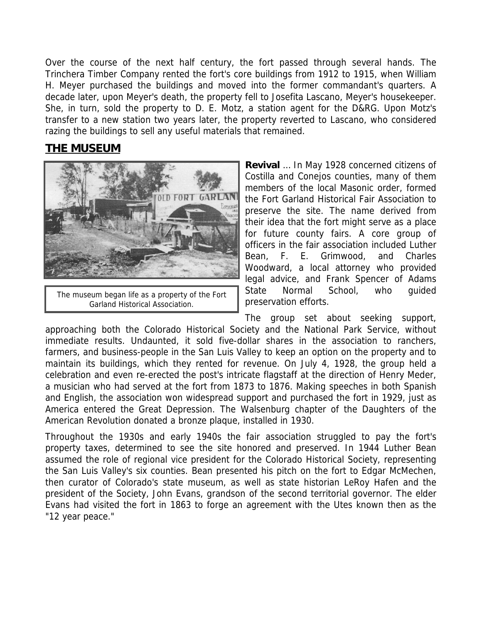Over the course of the next half century, the fort passed through several hands. The Trinchera Timber Company rented the fort's core buildings from 1912 to 1915, when William H. Meyer purchased the buildings and moved into the former commandant's quarters. A decade later, upon Meyer's death, the property fell to Josefita Lascano, Meyer's housekeeper. She, in turn, sold the property to D. E. Motz, a station agent for the D&RG. Upon Motz's transfer to a new station two years later, the property reverted to Lascano, who considered razing the buildings to sell any useful materials that remained.

## **THE MUSEUM**



The museum began life as a property of the Fort Garland Historical Association.

**Revival** … In May 1928 concerned citizens of Costilla and Conejos counties, many of them members of the local Masonic order, formed the Fort Garland Historical Fair Association to preserve the site. The name derived from their idea that the fort might serve as a place for future county fairs. A core group of officers in the fair association included Luther Bean, F. E. Grimwood, and Charles Woodward, a local attorney who provided legal advice, and Frank Spencer of Adams State Normal School, who guided preservation efforts.

The group set about seeking support, approaching both the Colorado Historical Society and the National Park Service, without immediate results. Undaunted, it sold five-dollar shares in the association to ranchers, farmers, and business-people in the San Luis Valley to keep an option on the property and to maintain its buildings, which they rented for revenue. On July 4, 1928, the group held a celebration and even re-erected the post's intricate flagstaff at the direction of Henry Meder, a musician who had served at the fort from 1873 to 1876. Making speeches in both Spanish and English, the association won widespread support and purchased the fort in 1929, just as America entered the Great Depression. The Walsenburg chapter of the Daughters of the American Revolution donated a bronze plaque, installed in 1930.

Throughout the 1930s and early 1940s the fair association struggled to pay the fort's property taxes, determined to see the site honored and preserved. In 1944 Luther Bean assumed the role of regional vice president for the Colorado Historical Society, representing the San Luis Valley's six counties. Bean presented his pitch on the fort to Edgar McMechen, then curator of Colorado's state museum, as well as state historian LeRoy Hafen and the president of the Society, John Evans, grandson of the second territorial governor. The elder Evans had visited the fort in 1863 to forge an agreement with the Utes known then as the "12 year peace."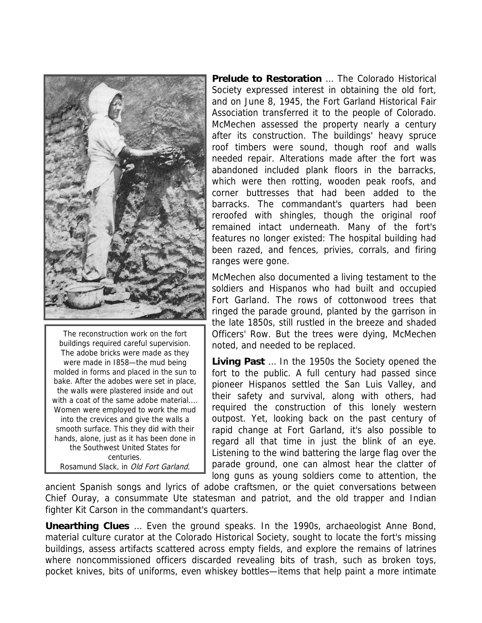

The reconstruction work on the fort buildings required careful supervision. The adobe bricks were made as they were made in I858—the mud being molded in forms and placed in the sun to bake. After the adobes were set in place, the walls were plastered inside and out with a coat of the same adobe material.... Women were employed to work the mud into the crevices and give the walls a smooth surface. This they did with their hands, alone, just as it has been done in the Southwest United States for centuries. Rosamund Slack, in Old Fort Garland,

1954

**Prelude to Restoration** … The Colorado Historical Society expressed interest in obtaining the old fort, and on June 8, 1945, the Fort Garland Historical Fair Association transferred it to the people of Colorado. McMechen assessed the property nearly a century after its construction. The buildings' heavy spruce roof timbers were sound, though roof and walls needed repair. Alterations made after the fort was abandoned included plank floors in the barracks, which were then rotting, wooden peak roofs, and corner buttresses that had been added to the barracks. The commandant's quarters had been reroofed with shingles, though the original roof remained intact underneath. Many of the fort's features no longer existed: The hospital building had been razed, and fences, privies, corrals, and firing ranges were gone.

McMechen also documented a living testament to the soldiers and Hispanos who had built and occupied Fort Garland. The rows of cottonwood trees that ringed the parade ground, planted by the garrison in the late 1850s, still rustled in the breeze and shaded Officers' Row. But the trees were dying, McMechen noted, and needed to be replaced.

**Living Past** … In the 1950s the Society opened the fort to the public. A full century had passed since pioneer Hispanos settled the San Luis Valley, and their safety and survival, along with others, had required the construction of this lonely western outpost. Yet, looking back on the past century of rapid change at Fort Garland, it's also possible to regard all that time in just the blink of an eye. Listening to the wind battering the large flag over the parade ground, one can almost hear the clatter of long guns as young soldiers come to attention, the

ancient Spanish songs and lyrics of adobe craftsmen, or the quiet conversations between Chief Ouray, a consummate Ute statesman and patriot, and the old trapper and Indian fighter Kit Carson in the commandant's quarters.

**Unearthing Clues** … Even the ground speaks. In the 1990s, archaeologist Anne Bond, material culture curator at the Colorado Historical Society, sought to locate the fort's missing buildings, assess artifacts scattered across empty fields, and explore the remains of latrines where noncommissioned officers discarded revealing bits of trash, such as broken toys, pocket knives, bits of uniforms, even whiskey bottles—items that help paint a more intimate